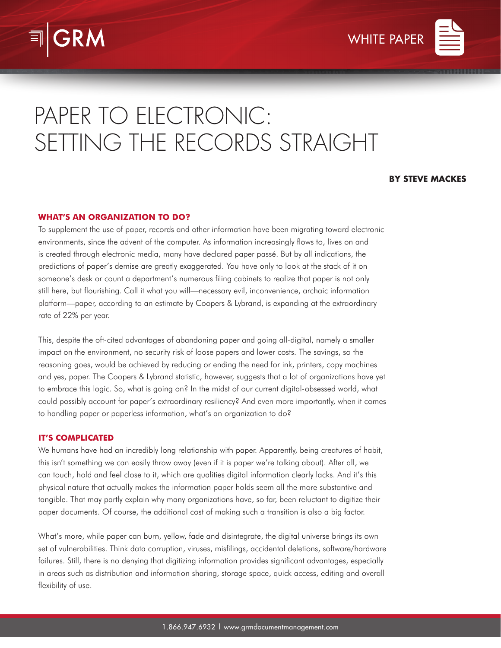

# PAPER TO ELECTRONIC: SETTING THE RECORDS STRAIGHT

# **BY STEVE MACKES**

# **WHAT'S AN ORGANIZATION TO DO?**

To supplement the use of paper, records and other information have been migrating toward electronic environments, since the advent of the computer. As information increasingly flows to, lives on and is created through electronic media, many have declared paper passé. But by all indications, the predictions of paper's demise are greatly exaggerated. You have only to look at the stack of it on someone's desk or count a department's numerous filing cabinets to realize that paper is not only still here, but flourishing. Call it what you will—necessary evil, inconvenience, archaic information platform—paper, according to an estimate by Coopers & Lybrand, is expanding at the extraordinary rate of 22% per year.

This, despite the oft-cited advantages of abandoning paper and going all-digital, namely a smaller impact on the environment, no security risk of loose papers and lower costs. The savings, so the reasoning goes, would be achieved by reducing or ending the need for ink, printers, copy machines and yes, paper. The Coopers & Lybrand statistic, however, suggests that a lot of organizations have yet to embrace this logic. So, what is going on? In the midst of our current digital-obsessed world, what could possibly account for paper's extraordinary resiliency? And even more importantly, when it comes to handling paper or paperless information, what's an organization to do?

# **IT'S COMPLICATED**

We humans have had an incredibly long relationship with paper. Apparently, being creatures of habit, this isn't something we can easily throw away (even if it is paper we're talking about). After all, we can touch, hold and feel close to it, which are qualities digital information clearly lacks. And it's this physical nature that actually makes the information paper holds seem all the more substantive and tangible. That may partly explain why many organizations have, so far, been reluctant to digitize their paper documents. Of course, the additional cost of making such a transition is also a big factor.

What's more, while paper can burn, yellow, fade and disintegrate, the digital universe brings its own set of vulnerabilities. Think data corruption, viruses, misfilings, accidental deletions, software/hardware failures. Still, there is no denying that digitizing information provides significant advantages, especially in areas such as distribution and information sharing, storage space, quick access, editing and overall flexibility of use.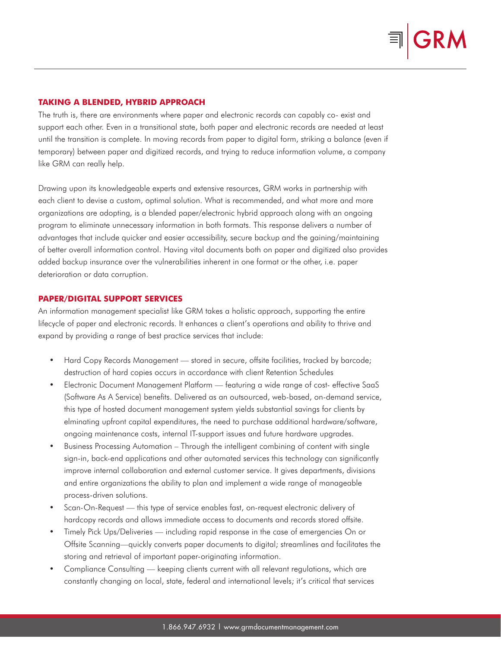

#### **TAKING A BLENDED, HYBRID APPROACH**

The truth is, there are environments where paper and electronic records can capably co- exist and support each other. Even in a transitional state, both paper and electronic records are needed at least until the transition is complete. In moving records from paper to digital form, striking a balance (even if temporary) between paper and digitized records, and trying to reduce information volume, a company like GRM can really help.

Drawing upon its knowledgeable experts and extensive resources, GRM works in partnership with each client to devise a custom, optimal solution. What is recommended, and what more and more organizations are adopting, is a blended paper/electronic hybrid approach along with an ongoing program to eliminate unnecessary information in both formats. This response delivers a number of advantages that include quicker and easier accessibility, secure backup and the gaining/maintaining of better overall information control. Having vital documents both on paper and digitized also provides added backup insurance over the vulnerabilities inherent in one format or the other, i.e. paper deterioration or data corruption.

#### **PAPER/DIGITAL SUPPORT SERVICES**

An information management specialist like GRM takes a holistic approach, supporting the entire lifecycle of paper and electronic records. It enhances a client's operations and ability to thrive and expand by providing a range of best practice services that include:

- Hard Copy Records Management stored in secure, offsite facilities, tracked by barcode; destruction of hard copies occurs in accordance with client Retention Schedules
- Electronic Document Management Platform featuring a wide range of cost- effective SaaS (Software As A Service) benefits. Delivered as an outsourced, web-based, on-demand service, this type of hosted document management system yields substantial savings for clients by elminating upfront capital expenditures, the need to purchase additional hardware/software, ongoing maintenance costs, internal IT-support issues and future hardware upgrades.
- Business Processing Automation Through the intelligent combining of content with single sign-in, back-end applications and other automated services this technology can significantly improve internal collaboration and external customer service. It gives departments, divisions and entire organizations the ability to plan and implement a wide range of manageable process-driven solutions.
- Scan-On-Request this type of service enables fast, on-request electronic delivery of hardcopy records and allows immediate access to documents and records stored offsite.
- Timely Pick Ups/Deliveries including rapid response in the case of emergencies On or Offsite Scanning—quickly converts paper documents to digital; streamlines and facilitates the storing and retrieval of important paper-originating information.
- Compliance Consulting keeping clients current with all relevant regulations, which are constantly changing on local, state, federal and international levels; it's critical that services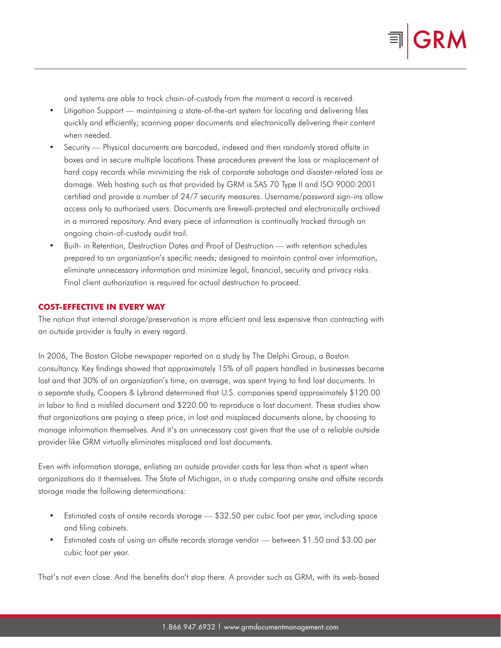and systems are able to track chain-of-custody from the moment a record is received.

- Litigation Support maintaining a state-of-the-art system for locating and delivering files quickly and efficiently; scanning paper documents and electronically delivering their content when needed.
- Security Physical documents are barcoded, indexed and then randomly stored offsite in boxes and in secure multiple locations These procedures prevent the loss or misplacement of hard copy records while minimizing the risk of corporate sabotage and disaster-related loss or damage. Web hosting such as that provided by GRM is SAS 70 Type II and ISO 9000:2001 certified and provide a number of 24/7 security measures. Username/password sign-ins allow access only to authorized users. Documents are firewall-protected and electronically archived in a mirrored repository. And every piece of information is continually tracked through an ongoing chain-of-custody audit trail.
- Built- in Retention, Destruction Dates and Proof of Destruction with retention schedules prepared to an organization's specific needs; designed to maintain control over information, eliminate unnecessary information and minimize legal, financial, security and privacy risks. Final client authorization is required for actual destruction to proceed.

# **COST-EFFECTIVE IN EVERY WAY**

The notion that internal storage/preservation is more efficient and less expensive than contracting with an outside provider is faulty in every regard.

In 2006, The Boston Globe newspaper reported on a study by The Delphi Group, a Boston consultancy. Key findings showed that approximately 15% of all papers handled in businesses became lost and that 30% of an organization's time, on average, was spent trying to find lost documents. In a separate study, Coopers & Lybrand determined that U.S. companies spend approximately \$120.00 in labor to find a misfiled document and \$220.00 to reproduce a lost document. These studies show that organizations are paying a steep price, in lost and misplaced documents alone, by choosing to manage information themselves. And it's an unnecessary cost given that the use of a reliable outside provider like GRM virtually eliminates misplaced and lost documents.

Even with information storage, enlisting an outside provider costs far less than what is spent when organizations do it themselves. The State of Michigan, in a study comparing onsite and offsite records storage made the following determinations:

- Estimated costs of onsite records storage \$32.50 per cubic foot per year, including space and filing cabinets.
- Estimated costs of using an offsite records storage vendor between \$1.50 and \$3.00 per cubic foot per year.

That's not even close. And the benefits don't stop there. A provider such as GRM, with its web-based